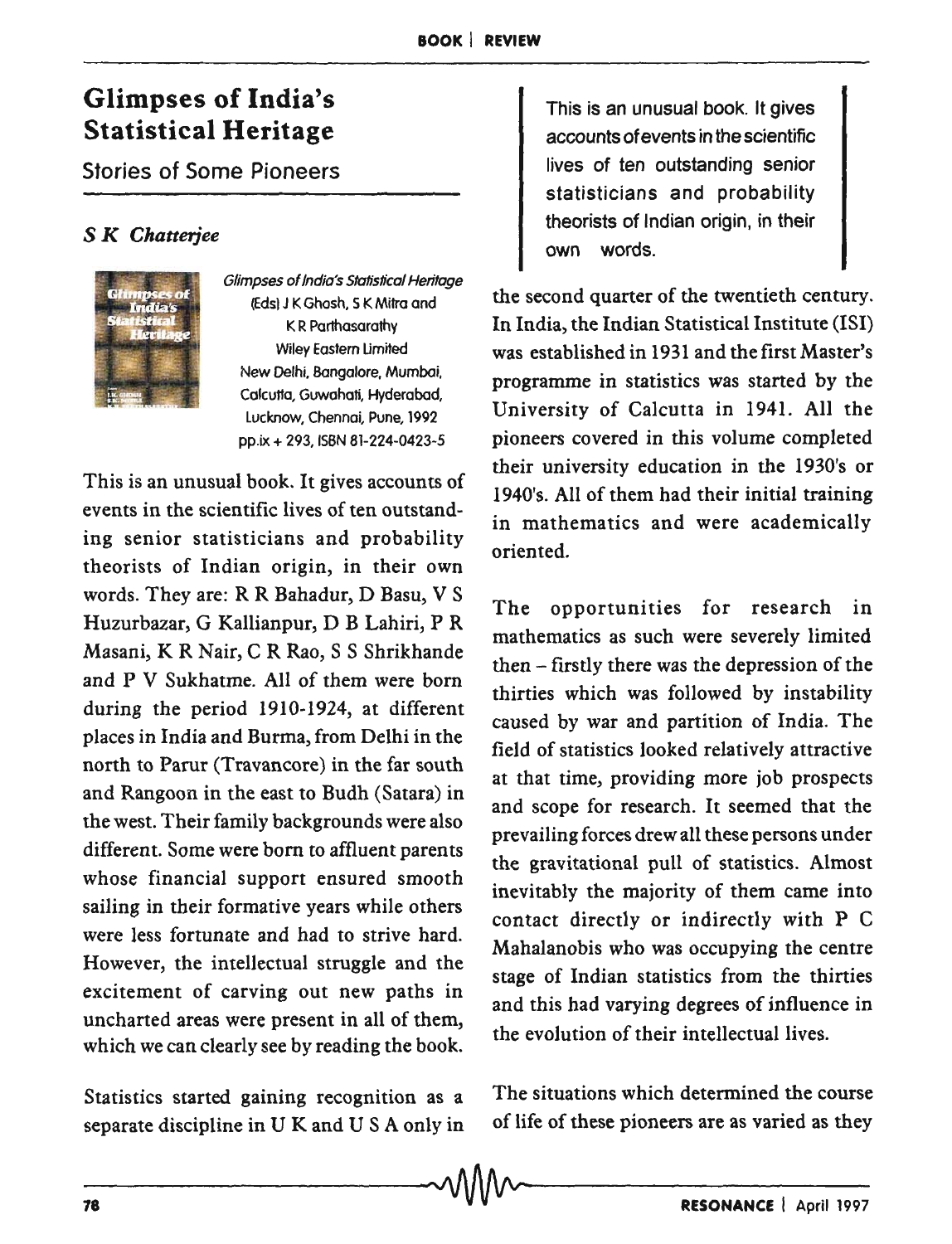## Glimpses of India's Statistical Heritage

Stories of Some Pioneers

## S *K Chatterjee*



Glimpses of India's Statistical Heritage (Eds) J K Ghosh, S K Mitra and K R Parthasarathy Wiley Eastern Umifed New Delhi, Bangalore, Mumbai. Colcutta, Guwohati, Hyderabad, Lucknow, Chennoi. Pune, 1992 pp.ix + 293, ISBN 81-224-0423-5

This is an unusual book. It gives accounts of events in the scientific lives of ten outstand· ing senior statisticians and probability theorists of Indian origin, in their own words. They are: R R Bahadur, D Basu, V S Huzurbazar, G Kallianpur, D B Lahiri, P R Masani, K R Nair, C R Rao, S S Shrikhande and P V Sukhatme. All of them were born during the period 1910-1924, at different places in India and Burma, from Delhi in the north to Parur (Travancore) in the far south and Rangoon in the east to Budh (Satara) in the west. Their family backgrounds were also different. Some were born to affluent parents whose financial support ensured smooth sailing in their formative years while others were less fortunate and had to strive hard. However, the intellectual struggle and the excitement of carving out new paths in uncharted areas were present in all of them, which we can clearly see by reading the book.

Statistics started gaining recognition as a separate discipline in U K and USA only in

This is an unusual book. It gives accounts of events in the scientific lives of ten outstanding senior statisticians and probability theorists of Indian origin, in their own words.

the second quarter of the twentieth century. In India, the Indian Statistical Institute (lSI) was established in 1931 and the first Master's programme in statistics was started by the University of Calcutta in 1941. All the pioneers covered in this volume completed their university education in the 1930's or 1940's. All of them had their initial training in mathematics and were academically oriented.

The opportunities for research in mathematics as such were severely limited then - firstly there was the depression of the thirties which was followed by instability caused by war and partition of India. The field of statistics looked relatively attractive at that time, providing more job prospects and scope for research. It seemed that the prevailing forces drew all these persons under the gravitational pull of statistics. Almost inevitably the majority of them came into contact directly or indirectly with P C Mahalanobis who was occupying the centre stage of Indian statistics from the thirties and this had varying degrees of influence in the evolution of their intellectual lives.

The situations which determined the course of life of these pioneers are as varied as they

 $\sim$   $\wedge$   $\wedge$   $\wedge$   $\wedge$   $\sim$